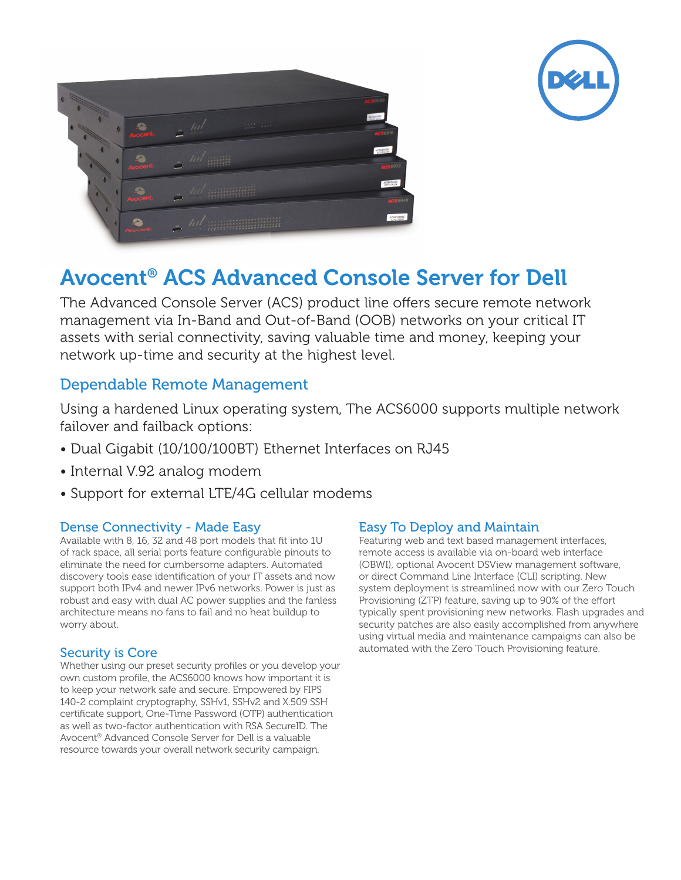



# Avocent® ACS Advanced Console Server for Dell

The Advanced Console Server (ACS) product line offers secure remote network management via In-Band and Out-of-Band (OOB) networks on your critical IT assets with serial connectivity, saving valuable time and money, keeping your network up-time and security at the highest level.

## Dependable Remote Management

Using a hardened Linux operating system, The ACS6000 supports multiple network failover and failback options:

- Dual Gigabit (10/100/100BT) Ethernet Interfaces on RJ45
- Internal V.92 analog modem
- Support for external LTE/4G cellular modems

#### Dense Connectivity - Made Easy

Available with 8, 16, 32 and 48 port models that fit into 1U of rack space, all serial ports feature configurable pinouts to eliminate the need for cumbersome adapters. Automated discovery tools ease identification of your IT assets and now support both IPv4 and newer IPv6 networks. Power is just as robust and easy with dual AC power supplies and the fanless architecture means no fans to fail and no heat buildup to worry about.

### Security is Core

Whether using our preset security profiles or you develop your own custom profile, the ACS6000 knows how important it is to keep your network safe and secure. Empowered by FIPS 140-2 complaint cryptography, SSHv1, SSHv2 and X.509 SSH certificate support, One-Time Password (OTP) authentication as well as two-factor authentication with RSA SecureID. The Avocent® Advanced Console Server for Dell is a valuable resource towards your overall network security campaign.

#### Easy To Deploy and Maintain

Featuring web and text based management interfaces, remote access is available via on-board web interface (OBWI), optional Avocent DSView management software, or direct Command Line Interface (CLI) scripting. New system deployment is streamlined now with our Zero Touch Provisioning (ZTP) feature, saving up to 90% of the effort typically spent provisioning new networks. Flash upgrades and security patches are also easily accomplished from anywhere using virtual media and maintenance campaigns can also be automated with the Zero Touch Provisioning feature.